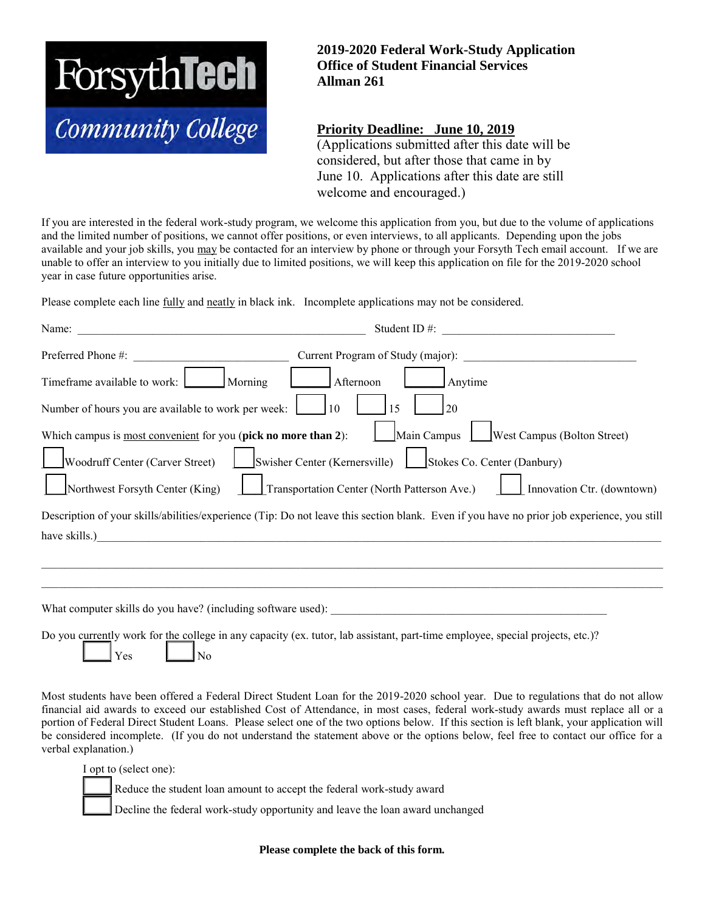

## **2019-2020 Federal Work-Study Application Office of Student Financial Services Allman 261**

## **Priority Deadline: June 10, 2019**

(Applications submitted after this date will be considered, but after those that came in by June 10. Applications after this date are still welcome and encouraged.)

If you are interested in the federal work-study program, we welcome this application from you, but due to the volume of applications and the limited number of positions, we cannot offer positions, or even interviews, to all applicants. Depending upon the jobs available and your job skills, you may be contacted for an interview by phone or through your Forsyth Tech email account. If we are unable to offer an interview to you initially due to limited positions, we will keep this application on file for the 2019-2020 school year in case future opportunities arise.

Please complete each line fully and neatly in black ink. Incomplete applications may not be considered.

| Name:                                                          | Student ID $#$ :<br><u> 1980 - Jan Barbara, martin da kasas da kasas da kasas da kasas da kasas da kasas da kasas da kasas da kasas d</u>  |
|----------------------------------------------------------------|--------------------------------------------------------------------------------------------------------------------------------------------|
| Preferred Phone #:                                             | Current Program of Study (major):                                                                                                          |
| Morning<br>Timeframe available to work:                        | Afternoon<br>Anytime                                                                                                                       |
| Number of hours you are available to work per week:            | <sup>10</sup><br>15<br>20                                                                                                                  |
| Which campus is most convenient for you (pick no more than 2): | <b>West Campus (Bolton Street)</b><br>Main Campus                                                                                          |
| Woodruff Center (Carver Street)                                | Swisher Center (Kernersville) Stokes Co. Center (Danbury)                                                                                  |
| Northwest Forsyth Center (King)                                | Transportation Center (North Patterson Ave.)<br>Innovation Ctr. (downtown)                                                                 |
|                                                                | Description of your skills/abilities/experience (Tip: Do not leave this section blank. Even if you have no prior job experience, you still |
| have skills.)                                                  |                                                                                                                                            |
|                                                                |                                                                                                                                            |
|                                                                |                                                                                                                                            |
|                                                                | What computer skills do you have? (including software used):                                                                               |
| Yes<br>No                                                      | Do you currently work for the college in any capacity (ex. tutor, lab assistant, part-time employee, special projects, etc.)?              |

Most students have been offered a Federal Direct Student Loan for the 2019-2020 school year. Due to regulations that do not allow financial aid awards to exceed our established Cost of Attendance, in most cases, federal work-study awards must replace all or a portion of Federal Direct Student Loans. Please select one of the two options below. If this section is left blank, your application will be considered incomplete. (If you do not understand the statement above or the options below, feel free to contact our office for a verbal explanation.)

I opt to (select one):

Reduce the student loan amount to accept the federal work-study award

Decline the federal work-study opportunity and leave the loan award unchanged

**Please complete the back of this form.**